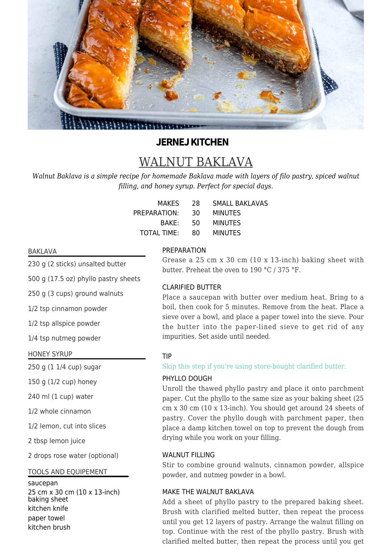

# **JERNEJ KITCHEN**

# WALNUT BAKLAVA

*Walnut Baklava is a simple recipe for homemade Baklava made with layers of filo pastry, spiced walnut filling, and honey syrup. Perfect for special days.*

| MAKES          | 28.  | <b>SMALL BAKLAVAS</b> |
|----------------|------|-----------------------|
| PREPARATION:   | 30.  | <b>MINUTES</b>        |
| BAKF:          | -50- | <b>MINUTES</b>        |
| TOTAL TIME: 80 |      | MINUTES               |

#### BAKLAVA

230 g (2 sticks) unsalted butter

500 g (17.5 oz) phyllo pastry sheets

250 g (3 cups) ground walnuts

1/2 tsp cinnamon powder

1/2 tsp allspice powder

1/4 tsp nutmeg powder

#### HONEY SYRUP

250 g (1 1/4 cup) sugar

150 g (1/2 cup) honey

240 ml (1 cup) water

1/2 whole cinnamon

1/2 lemon, cut into slices

2 tbsp lemon juice

2 drops rose water (optional)

# TOOLS AND EQUIPEMENT

#### saucepan

25 cm x 30 cm (10 x 13-inch) baking sheet kitchen knife paper towel kitchen brush

#### PREPARATION

Grease a 25 cm x 30 cm (10 x 13-inch) baking sheet with butter. Preheat the oven to 190 °C / 375 °F.

# CLARIFIED BUTTER

Place a saucepan with butter over medium heat. Bring to a boil, then cook for 5 minutes. Remove from the heat. Place a sieve over a bowl, and place a paper towel into the sieve. Pour the butter into the paper-lined sieve to get rid of any impurities. Set aside until needed.

#### TIP

Skip this step if you're using store-bought clarified butter.

#### PHYLLO DOUGH

Unroll the thawed phyllo pastry and place it onto parchment paper. Cut the phyllo to the same size as your baking sheet (25 cm x 30 cm (10 x 13-inch). You should get around 24 sheets of pastry. Cover the phyllo dough with parchment paper, then place a damp kitchen towel on top to prevent the dough from drying while you work on your filling.

# WAI NUT FILLING

Stir to combine ground walnuts, cinnamon powder, allspice powder, and nutmeg powder in a bowl.

#### MAKE THE WALNUT BAKLAVA

Add a sheet of phyllo pastry to the prepared baking sheet. Brush with clarified melted butter, then repeat the process until you get 12 layers of pastry. Arrange the walnut filling on top. Continue with the rest of the phyllo pastry. Brush with clarified melted butter, then repeat the process until you get